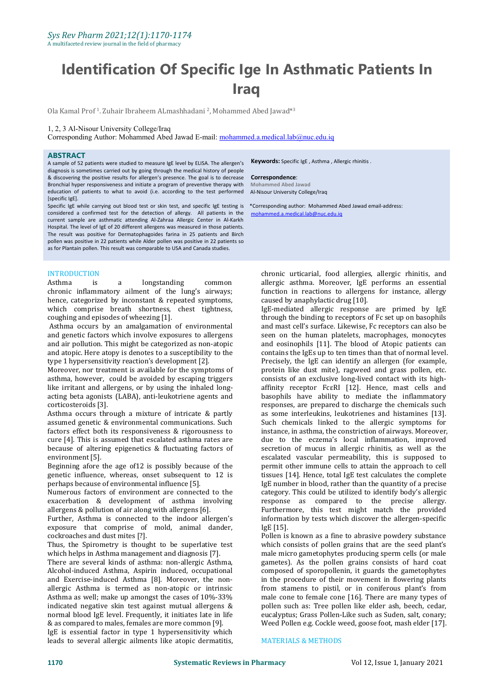# **Identification Of Specific Ige In Asthmatic Patients In Iraq**

0la Kamal Prof <sup>1</sup>. Zuhair Ibraheem ALmashhadani <sup>2</sup>, Mohammed Abed Jawad\*<sup>3</sup> 3

# 1, 2, 3 Al-Nisour University College/Iraq

Corresponding Author: Mohammed Abed Jawad E-mail: [mohammed.a.medical.lab@nuc.edu.iq](mailto:mohammed.a.medical.lab@nuc.edu.iq)

### **ABSTRACT**

A sample of 52 patients were studied to measure IgE level by ELISA. The allergen's diagnosis is sometimes carried out by going through the medical history of people & discovering the positive results for allergen's presence. The goal is to decrease Bronchial hyper responsiveness and initiate a program of preventive therapy with education of patients to what to avoid (i.e. according to the test performed [specific IgE].

Specific IgE while carrying out blood test or skin test, and specific IgE testing is \*Corresponding author: Mohammed Abed Jawad email-address: considered a confirmed test for the detection of allergy. All patients in the current sample are asthmatic attending Al-Zahraa Allergic Center in Al-Karkh Hospital. The level of IgE of 20 different allergens was measured in those patients. The result was positive for Dermatophagoides farina in 25 patients and Birch pollen was positive in 22 patients while Alder pollen was positive in 22 patients so as for Plantain pollen. This result was comparable to USA and Canada studies.

INTRODUCTION<br>Asthma is a longstanding chronic [inflammatory](about:blank) ailment of the lung's airways; function in reactions to allerger hence, categorized by inconstant & repeated symptoms, caused by anaphylactic drug [10]. hence, categorized by inconstant & repeated symptoms, which comprise breath shortness, chest tightness, coughing and episodes of wheezing [\[1\]](about:blank).

Asthma occurs by an amalgamation of environmental and genetic factors which involve exposures to allergens and air pollution. This might be categorized as non-atopic and atopic. Here atopy is denotes to a susceptibility to the type 1 hypersensitivity reaction's development [2].

Moreover, nor treatment is available for the symptoms of asthma, however, could be avoided by escaping triggers like irritant and allergens, or by using the inhaled [long](about:blank) acting beta agonists (LABA), [anti-leukotriene](about:blank) agents and [corticosteroids](about:blank) [\[3\].](about:blank)

Asthma occurs through a mixture of intricate & partly assumed genetic & environmental communications. Such factors effect both its responsiveness & rigorousness to cure [4]. This is assumed that escalated asthma rates are because of altering epigenetics & fluctuating factors of environment [5].

Beginning afore the age of12 is possibly because of the genetic influence, whereas, onset subsequent to 12 is perhaps because of environmental influence [5].

Numerous factors of environment are connected to the exacerbation & development of asthma involving allergens & pollution of air along with allergens [6].

Further, Asthma is connected to the indoor allergen's exposure that comprise of mold, animal dander, cockroaches and dust mites [?].

Thus, the [Spirometry](about:blank) is thought to be superlative test which helps in Asthma management and diagnosis [7].

There are several kinds of asthma: non-allergic Asthma, Alcohol-induced Asthma, Aspirin induced, occupational and Exercise-induced Asthma [8]. Moreover, the non allergic Asthma is termed as non-atopic or intrinsic Asthma as well; make up amongst the cases of 10%-33% indicated negative skin test against mutual allergens & normal blood IgE level. Frequently, it initiates late in life & as compared to males, females are more common [9].

IgE is essential factor in type 1 hypersensitivity which leads to several allergic ailments like atopic dermatitis, **Keywords:** Specific IgE , Asthma , Allergic rhinitis .

#### **Correspondence**:

**Mohammed Abed Jawad** Al-Nisour University College/Iraq

mohammed.a.medical.lab@nuc.edu.iq

Asthma is a [longstanding](about:blank) common allergic asthma. Moreover, IgE performs an essential chronic urticarial, food allergies, allergic rhinitis, and function in reactions to allergens for instance, allergy

IgE-mediated allergic response are primed by IgE through the binding to receptors of [Fc](about:blank) set up on basophils and mast cell's surface. Likewise, Fc receptors can also be seen on the human platelets, macrophages, monocytes and eosinophils [11]. The blood of [Atopic](about:blank) patients can contains the IgEs up to ten times than that of normal level. Precisely, the IgE can identify an [allergen](about:blank) (for example, protein like dust [mite](about:blank)), ragweed and grass pollen, etc. consists of an exclusive long-lived contact with its high affinity [receptor](about:blank) FcεRI [12]. Hence, mast cells and basophils have ability to mediate the inflammatory responses, are prepared to discharge the chemicals such as some interleukins, leukotrienes and histamines [13]. Such chemicals linked to the allergic symptoms for instance, in asthma, the constriction of airways. Moreover, due to the eczema's local inflammation, improved secretion of mucus in allergic [rhinitis,](about:blank) as well as the escalated vascular permeability, this is supposed to permit other immune cells to attain the approach to cell tissues [14]. Hence, total IgE test calculates the complete IgE number in blood, rather than the quantity of a precise category. This could be utilized to identify body's allergic response as compared to the precise allergy. Furthermore, this test might match the provided information by tests which discover the allergen-specific IgE [15].

Pollen is known as a fine to abrasive powdery substance which consists of pollen grains that are the seed plant's male micro [gametophytes](about:blank) producing sperm cells (or male gametes). As the pollen grains consists of hard coat composed of [sporopollenin,](about:blank) it guards the gametophytes in the procedure of their movement in flowering plants from [stamens](about:blank) to [pistil,](about:blank) or in coniferous plant's from male [cone](about:blank) to female cone [16]. There are many types of pollen such as: Tree pollen like elder ash, beech, cedar, eucalyptus; Grass Pollen-Like such as Suden, salt, conary; Weed Pollen e.g. Cockle weed, goose foot, mash elder [17].

#### MATERIALS & METHODS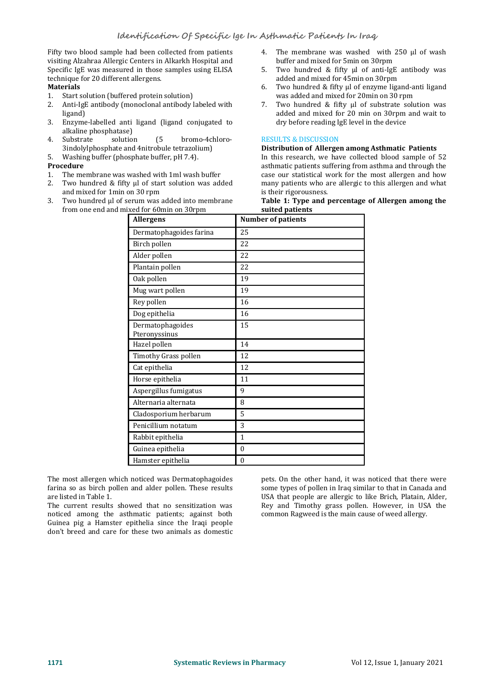Fifty two blood sample had been collected from patients visiting Alzahraa Allergic Centers in Alkarkh Hospital and Specific IgE was measured in those samples using ELISA technique for <sup>20</sup> different allergens. **Materials**

- 
- 1. Start solution (buffered protein solution)<br>2. Anti-IgE antibody (monoclonal antibody Anti-IgE antibody (monoclonal antibody labeled with  $\qquad \qquad$  7.<br>ligand) ligand)
- 3. Enzyme-labelled anti ligand (ligand conjugated to alkaline phosphatase)<br>Substrate solution (5
- 4. Substrate solution (5 bromo-4chloro- 3indolylphosphate and 4nitrobule tetrazolium)
- 5. Washing buffer (phosphate buffer, pH 7.4). **Procedure**

- 1. The membrane was washed with 1ml wash buffer
- 2. Two hundred & fifty  $\mu$  of start solution was added many patients who a and mixed for 1 min on 30 rpm since is their rigorousness. and mixed for 1min on 30 rpm
- 3. Two hundred µl of serum was added into membrane from one end and mixed for 60min on 30rpm
- 4. The membrane was washed with 250 ul of wash buffer and mixed for 5min on 30rpm
- Two hundred & fifty ul of anti-IgE antibody was added and mixed for 45min on 30rpm
- 6. Two hundred & fifty µl of enzyme ligand-anti ligand was added and mixed for 20min on 30 rpm
- Two hundred & fifty µl of substrate solution was added and mixed for 20 min on 30rpm and wait to dry before reading IgE level in the device

### RESULTS & DISCUSSION

#### **Distribution of Allergen among Asthmatic Patients**

In this research, we have collected blood sample of 52 asthmatic patients suffering from asthma and through the case our statistical work for the most allergen and how many patients who are allergic to this allergen and what

### **Table 1:** Type and percentage of Allergen among the **suited patients**

| <b>Allergens</b>                  | <b>Number of patients</b> |  |
|-----------------------------------|---------------------------|--|
| Dermatophagoides farina           | 25                        |  |
| Birch pollen                      | 22                        |  |
| Alder pollen                      | 22                        |  |
| Plantain pollen                   | 22                        |  |
| Oak pollen                        | 19                        |  |
| Mug wart pollen                   | 19                        |  |
| Rey pollen                        | 16                        |  |
| Dog epithelia                     | 16                        |  |
| Dermatophagoides<br>Pteronyssinus | 15                        |  |
| Hazel pollen                      | 14                        |  |
| Timothy Grass pollen              | 12                        |  |
| Cat epithelia                     | 12                        |  |
| Horse epithelia                   | 11                        |  |
| Aspergillus fumigatus             | 9                         |  |
| Alternaria alternata              | 8                         |  |
| Cladosporium herbarum             | 5                         |  |
| Penicillium notatum               | 3                         |  |
| Rabbit epithelia                  | $\mathbf{1}$              |  |
| Guinea epithelia                  | $\theta$                  |  |
| Hamster epithelia                 | $\mathbf{0}$              |  |

The most allergen which noticed was Dermatophagoides farina so as birch pollen and alder pollen. These results are listed in Table 1.

The current results showed that no sensitization was noticed among the asthmatic patients; against both Guinea pig a Hamster epithelia since the Iraqi people don't breed and care for these two animals as domestic pets. On the other hand, it was noticed that there were some types of pollen in Iraq similar to that in Canada and USA that people are allergic to like Brich, Platain, Alder, Rey and Timothy grass pollen. However, in USA the common Ragweed is the main cause of weed allergy.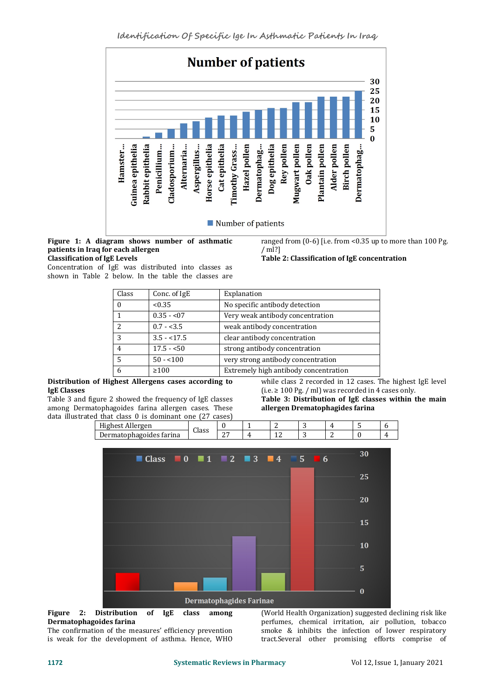

#### **Figure 1: A diagram shows number of asthmatic patients in Iraq for each allergen Classification of IgE Levels**

Concentration of IgE was distributed into classes as shown in Table 2 below. In the table the classes are ranged from (0-6) [i.e. from <0.35 up to more than 100 Pg.  $\binom{m}{2}$  $/m$ !?]

# **Table 2: Classification of IgE concentration**

| Class    | Conc. of IgE | Explanation                           |
|----------|--------------|---------------------------------------|
| $\theta$ | < 0.35       | No specific antibody detection        |
|          | $0.35 - 0.7$ | Very weak antibody concentration      |
|          | $0.7 - 3.5$  | weak antibody concentration           |
| 3        | $3.5 - 17.5$ | clear antibody concentration          |
| 4        | $17.5 - 50$  | strong antibody concentration         |
|          | $50 - 100$   | very strong antibody concentration    |
| 6        | $\geq 100$   | Extremely high antibody concentration |

#### **Distribution of Highest Allergens cases according to IgE Classes**

Table 3 and figure 2 showed the frequency of IgE classes among Dermatophagoides farina allergen cases. These data illustrated that class 0 is dominant one (27 cases) **Distribution of Highest Allergens cases according to**<br> **lgE Classes** (i.e.  $\geq 100 \text{ pg}$ . / ml) was recorded in 4 cases only.<br>
Table 3 and figure 2 showed the frequency of IgE classes **Table 3: Distribution of IgE class** 

(i.e. <sup>≥</sup> <sup>100</sup> Pg. / ml) was recorded in <sup>4</sup> cases only. **Table 3: Distribution of IgE classes within the main**

**allergen Drematophagides farina**

Highest Allergen Class <sup>0</sup> <sup>1</sup> <sup>2</sup> <sup>3</sup> <sup>4</sup> <sup>5</sup> <sup>6</sup>



Dermatophagoides farina 27 4 12 3 2 0 4



The confirmation of the measures' efficiency prevention is weak for the development of asthma. Hence, WHO

(World Health Organization) suggested declining risk like perfumes, chemical irritation, air pollution, tobacco smoke & inhibits the infection of lower respiratory tract.Several other promising efforts comprise of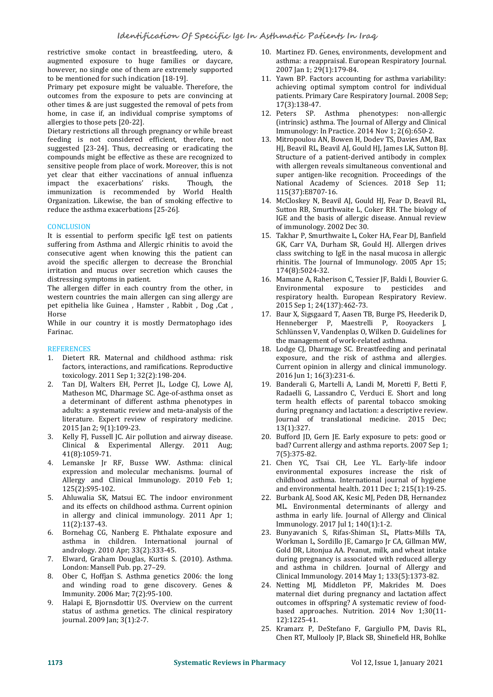restrictive smoke contact in [breastfeeding,](about:blank) utero, & augmented exposure to huge families or daycare, however, no single one of them are extremely supported to be mentioned for such indication [18-19].

Primary pet exposure might be valuable. Therefore, the outcomes from the exposure to pets are convincing at other times & are just suggested the removal of pets from home, in case if, an individual comprise symptoms of allergies to those pets [20-22].

Dietary restrictions all through pregnancy or while breast feeding is not considered efficient, therefore, not suggested [23-24]. Thus, decreasing or eradicating the compounds might be effective as these are recognized to sensitive people from place of work. Moreover, this is not yet clear that either vaccinations of annual [influenza](about:blank)<br>impact the exacerbations' risks. Though, the impact the exacerbations' risks. immunization is recommended by World Health Organization. Likewise, the ban of smoking effective to reduce the asthma exacerbations [25-26].

# **CONCLUSION**

It is essential to perform specific IgE test on patients suffering from Asthma and Allergic rhinitis to avoid the consecutive agent when knowing this the patient can avoid the specific allergen to decrease the Bronchial irritation and mucus over secretion which causes the distressing symptoms in patient.

The allergen differ in each country from the other, in western countries the main allergen can sing allergy are pet epithelia like Guinea, Hamster, Rabbit, Dog, Cat, Horse Horse

While in our country it is mostly Dermatophago ides Farinac.

### **REFERENCES**

- 1. Dietert RR. Maternal and childhood asthma: risk factors, interactions, and ramifications. Reproductive Current opinion in allerg<br>toxicology. 2011 Sep 1; 32(2):198-204. 2016 Jun 1; 16(3):231-6. toxicology. 2011 Sep 1; 32(2):198-204.
- 2. Tan DJ, Walters EH, Perret JL, Lodge CJ, Lowe AJ, Matheson MC, Dharmage SC. Age-of-asthma onset as a determinant of different asthma phenotypes in adults: a systematic review and meta-analysis of the literature. Expert review of respiratory medicine.<br>2015 Jan 2; 9(1):109-23.
- 3. Kelly FJ, Fussell JC. Air pollution and airway disease. Clinical & Experimental Allergy. 2011 Aug; 41(8):1059-71.
- 4. Lemanske Jr RF, Busse WW. Asthma: clinical expression and molecular mechanisms. Journal of Allergy and Clinical Immunology. 2010 Feb 1; 125(2):S95-102.
- 5. Ahluwalia SK, Matsui EC. The indoor environment and its effects on childhood asthma. Current opinion in allergy and clinical immunology. 2011 Apr 1; 11(2):137-43.
- 6. Bornehag CG, Nanberg E. Phthalate exposure and asthma in children. International journal andrology. 2010 Apr; 33(2):333-45.
- 7. Elward, Graham Douglas, Kurtis S. (2010). Asthma. London: Mansell Pub. pp. 27–29.
- 8. Ober C, Hoffjan S. Asthma genetics 2006: the long and winding road to gene discovery. Genes & Immunity. 2006 Mar; 7(2):95-100.
- 9. Halapi E, Bjornsdottir US. Overview on the current status of asthma genetics. The clinical respiratory journal. 2009 Jan; 3(1):2-7.
- 10. Martinez FD. Genes, environments, development and asthma: a reappraisal.European Respiratory Journal. 2007 Jan 1; 29(1):179-84.
- 11. Yawn BP. Factors accounting for asthma variability: achieving optimal symptom control for individual patients. Primary Care Respiratory Journal. 2008 Sep; 17(3):138-47.
- 12. Peters SP. Asthma phenotypes: non-allergic (intrinsic) asthma. The Journal of Allergy and Clinical Immunology: In Practice. 2014 Nov 1; 2(6):650-2.
- 13. Mitropoulou AN, Bowen H, Dodev TS, Davies AM, Bax HJ, Beavil RL, Beavil AJ, Gould HJ, James LK, Sutton BJ. Structure of a patient-derived antibody in complex with allergen reveals simultaneous conventional and super antigen-like recognition. Proceedings of the National Academy of Sciences. 2018 Sep 11; 115(37):E8707-16.
- 14. McCloskey N, Beavil AI, Gould HI, Fear D, Beavil RL, Sutton RB, Smurthwaite L, Coker RH. The biology of IGE and the basis of allergic disease. Annual review of immunology. 2002 Dec 30.
- 15. Takhar P, Smurthwaite L, Coker HA, Fear DJ, Banfield GK, Carr VA, Durham SR, Gould HJ. Allergen drives class switching to IgE in the nasal mucosa in allergic rhinitis. The Journal of Immunology. 2005 Apr 15; 174(8):5024-32.
- 16. Mamane A, Raherison C, Tessier JF, Baldi I, Bouvier G. Environmental exposure to pesticides and respiratory health. European Respiratory Review. 2015 Sep 1; 24(137):462-73.
- 17. Baur X, Sigsgaard T, Aasen TB, Burge PS, Heederik D, Henneberger P, Maestrelli P, Rooyackers J, Schlünssen V, Vandenplas O, Wilken D. Guidelines for the management of work-related asthma.
- 18. Lodge CJ, Dharmage SC. Breastfeeding and perinatal exposure, and the risk of asthma and allergies. Current opinion in allergy and clinical immunology.
- 19. Banderali G, Martelli A, Landi M, Moretti F, Betti F, Radaelli G, Lassandro C, Verduci E. Short and long term health effects of parental tobacco smoking during pregnancy and lactation: a descriptive review. Journal of translational medicine. 2015 Dec; 13(1):327.
- 20. Bufford JD, Gern JE. Early exposure to pets: good or bad? Current allergy and asthma reports. 2007 Sep 1; 7(5):375-82.
- 21. Chen YC, Tsai CH, Lee YL. Early-life indoor environmental exposures increase the risk of childhood asthma. International journal of hygiene and environmental health. 2011 Dec 1; 215(1):19-25.
- 22. Burbank AJ, Sood AK, Kesic MJ, Peden DB, Hernandez ML. Environmental determinants of allergy and asthma in early life. Journal of Allergy and Clinical Immunology. 2017 Jul 1; 140(1):1-2.
- 23. Bunyavanich S, Rifas-Shiman SL, Platts-Mills TA, Workman L, Sordillo JE, Camargo Jr CA, Gillman MW, Gold DR, Litonjua AA. Peanut, milk, and wheat intake during pregnancy is associated with reduced allergy and asthma in children. Journal of Allergy and Clinical Immunology. 2014 May 1; 133(5):1373-82.
- 24. Netting MJ, Middleton PF, Makrides M. Does maternal diet during pregnancy and lactation affect outcomes in offspring? A systematic review of food based approaches. Nutrition. 2014 Nov 1;30(11- 12):1225-41.
- 25. Kramarz P, DeStefano F, Gargiullo PM, Davis RL, Chen RT, Mullooly JP, Black SB, Shinefield HR, Bohlke